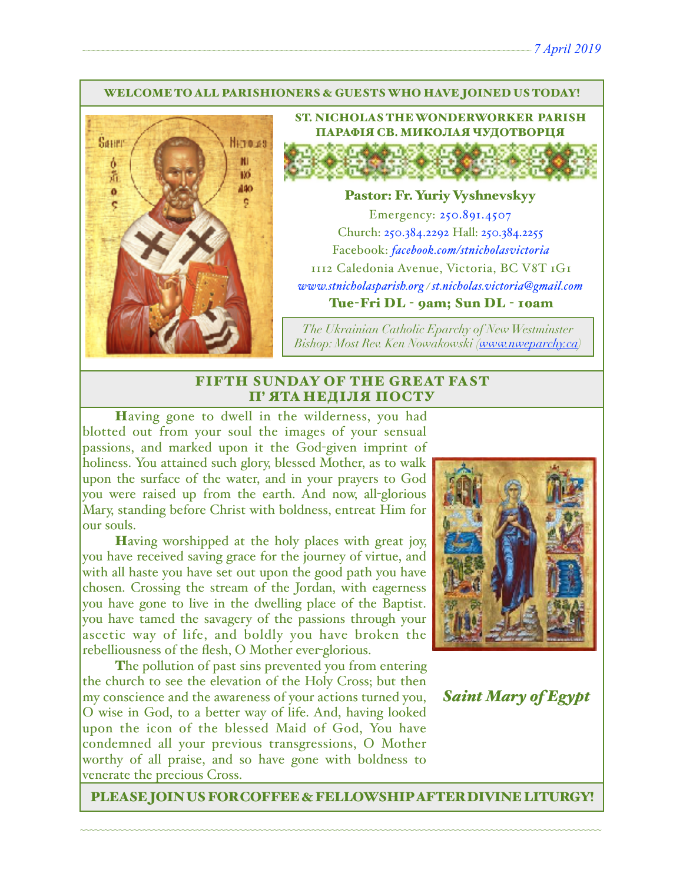#### WELCOME TO ALL PARISHIONERS & GUESTS WHO HAVE JOINED US TODAY!



ST. NICHOLAS THE WONDERWORKER PARISH ПАРАФІЯ СВ. МИКОЛАЯ ЧУДОТВОРЦЯ

#### Pastor: Fr. Yuriy Vyshnevskyy

Emergency: 250.891.4507 Church: 250.384.2292 Hall: 250.384.2255 Facebook: *[facebook.com/stnicholasvictoria](http://facebook.com/stnicholasvictoria)* 1112 Caledonia Avenue, Victoria, BC V8T 1G1 *[www.stnicholasparish.org](http://www.stnicholasparish.org) / [st.nicholas.victoria@gmail.com](mailto:st.nicholas.victoria@gmail.com)* Tue-Fri DL - 9am; Sun DL - 10am

*The Ukrainian Catholic Eparchy of New Westminster Bishop: Most Rev. Ken Nowakowski ([www.nweparchy.ca](http://www.nweparchy.ca))*

### FIFTH SUNDAY OF THE GREAT FAST П' ЯТА НЕДІЛЯ ПОСТУ

Having gone to dwell in the wilderness, you had blotted out from your soul the images of your sensual passions, and marked upon it the God-given imprint of holiness. You attained such glory, blessed Mother, as to walk upon the surface of the water, and in your prayers to God you were raised up from the earth. And now, all-glorious Mary, standing before Christ with boldness, entreat Him for our souls.

Having worshipped at the holy places with great joy, you have received saving grace for the journey of virtue, and with all haste you have set out upon the good path you have chosen. Crossing the stream of the Jordan, with eagerness you have gone to live in the dwelling place of the Baptist. you have tamed the savagery of the passions through your ascetic way of life, and boldly you have broken the rebelliousness of the flesh, O Mother ever-glorious.

The pollution of past sins prevented you from entering the church to see the elevation of the Holy Cross; but then my conscience and the awareness of your actions turned you, O wise in God, to a better way of life. And, having looked upon the icon of the blessed Maid of God, You have condemned all your previous transgressions, O Mother worthy of all praise, and so have gone with boldness to venerate the precious Cross.



*Saint Mary of Egypt*

PLEASE JOIN US FOR COFFEE & FELLOWSHIP AFTER DIVINE LITURGY!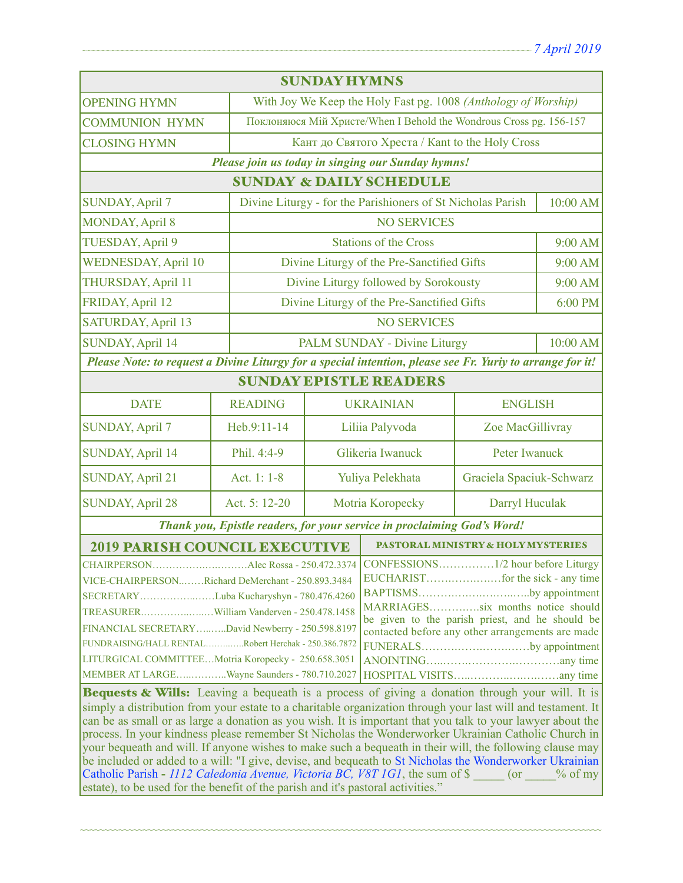| <b>SUNDAY HYMNS</b>                                                                                                                                                                                                                                                                                                                                                                                                                                                                                                                                                                                                                                                                                                                                                                                                                                     |                |                                                                |                                                                    |                          |          |
|---------------------------------------------------------------------------------------------------------------------------------------------------------------------------------------------------------------------------------------------------------------------------------------------------------------------------------------------------------------------------------------------------------------------------------------------------------------------------------------------------------------------------------------------------------------------------------------------------------------------------------------------------------------------------------------------------------------------------------------------------------------------------------------------------------------------------------------------------------|----------------|----------------------------------------------------------------|--------------------------------------------------------------------|--------------------------|----------|
| <b>OPENING HYMN</b>                                                                                                                                                                                                                                                                                                                                                                                                                                                                                                                                                                                                                                                                                                                                                                                                                                     |                | With Joy We Keep the Holy Fast pg. 1008 (Anthology of Worship) |                                                                    |                          |          |
| <b>COMMUNION HYMN</b>                                                                                                                                                                                                                                                                                                                                                                                                                                                                                                                                                                                                                                                                                                                                                                                                                                   |                |                                                                | Поклоняюся Мій Христе/When I Behold the Wondrous Cross pg. 156-157 |                          |          |
| Кант до Святого Хреста / Kant to the Holy Cross<br><b>CLOSING HYMN</b>                                                                                                                                                                                                                                                                                                                                                                                                                                                                                                                                                                                                                                                                                                                                                                                  |                |                                                                |                                                                    |                          |          |
| Please join us today in singing our Sunday hymns!                                                                                                                                                                                                                                                                                                                                                                                                                                                                                                                                                                                                                                                                                                                                                                                                       |                |                                                                |                                                                    |                          |          |
| <b>SUNDAY &amp; DAILY SCHEDULE</b>                                                                                                                                                                                                                                                                                                                                                                                                                                                                                                                                                                                                                                                                                                                                                                                                                      |                |                                                                |                                                                    |                          |          |
| <b>SUNDAY, April 7</b>                                                                                                                                                                                                                                                                                                                                                                                                                                                                                                                                                                                                                                                                                                                                                                                                                                  |                | Divine Liturgy - for the Parishioners of St Nicholas Parish    |                                                                    |                          | 10:00 AM |
| <b>MONDAY, April 8</b>                                                                                                                                                                                                                                                                                                                                                                                                                                                                                                                                                                                                                                                                                                                                                                                                                                  |                | <b>NO SERVICES</b>                                             |                                                                    |                          |          |
| TUESDAY, April 9                                                                                                                                                                                                                                                                                                                                                                                                                                                                                                                                                                                                                                                                                                                                                                                                                                        |                | <b>Stations of the Cross</b>                                   |                                                                    |                          |          |
| <b>WEDNESDAY, April 10</b>                                                                                                                                                                                                                                                                                                                                                                                                                                                                                                                                                                                                                                                                                                                                                                                                                              |                | Divine Liturgy of the Pre-Sanctified Gifts                     |                                                                    |                          | 9:00 AM  |
| THURSDAY, April 11                                                                                                                                                                                                                                                                                                                                                                                                                                                                                                                                                                                                                                                                                                                                                                                                                                      |                | Divine Liturgy followed by Sorokousty                          |                                                                    |                          | 9:00 AM  |
| FRIDAY, April 12                                                                                                                                                                                                                                                                                                                                                                                                                                                                                                                                                                                                                                                                                                                                                                                                                                        |                |                                                                | Divine Liturgy of the Pre-Sanctified Gifts                         |                          | 6:00 PM  |
| SATURDAY, April 13                                                                                                                                                                                                                                                                                                                                                                                                                                                                                                                                                                                                                                                                                                                                                                                                                                      |                | <b>NO SERVICES</b>                                             |                                                                    |                          |          |
| SUNDAY, April 14                                                                                                                                                                                                                                                                                                                                                                                                                                                                                                                                                                                                                                                                                                                                                                                                                                        |                |                                                                | PALM SUNDAY - Divine Liturgy                                       |                          | 10:00 AM |
| Please Note: to request a Divine Liturgy for a special intention, please see Fr. Yuriy to arrange for it!                                                                                                                                                                                                                                                                                                                                                                                                                                                                                                                                                                                                                                                                                                                                               |                |                                                                |                                                                    |                          |          |
| <b>SUNDAY EPISTLE READERS</b>                                                                                                                                                                                                                                                                                                                                                                                                                                                                                                                                                                                                                                                                                                                                                                                                                           |                |                                                                |                                                                    |                          |          |
| <b>DATE</b>                                                                                                                                                                                                                                                                                                                                                                                                                                                                                                                                                                                                                                                                                                                                                                                                                                             | <b>READING</b> | <b>UKRAINIAN</b>                                               |                                                                    | <b>ENGLISH</b>           |          |
| <b>SUNDAY, April 7</b>                                                                                                                                                                                                                                                                                                                                                                                                                                                                                                                                                                                                                                                                                                                                                                                                                                  | Heb.9:11-14    | Liliia Palyvoda                                                |                                                                    | Zoe MacGillivray         |          |
| <b>SUNDAY, April 14</b>                                                                                                                                                                                                                                                                                                                                                                                                                                                                                                                                                                                                                                                                                                                                                                                                                                 | Phil. 4:4-9    | Glikeria Iwanuck                                               |                                                                    | Peter Iwanuck            |          |
| <b>SUNDAY, April 21</b>                                                                                                                                                                                                                                                                                                                                                                                                                                                                                                                                                                                                                                                                                                                                                                                                                                 | Act. 1: 1-8    | Yuliya Pelekhata                                               |                                                                    | Graciela Spaciuk-Schwarz |          |
| <b>SUNDAY, April 28</b>                                                                                                                                                                                                                                                                                                                                                                                                                                                                                                                                                                                                                                                                                                                                                                                                                                 | Act. 5: 12-20  | Motria Koropecky                                               |                                                                    | Darryl Huculak           |          |
| Thank you, Epistle readers, for your service in proclaiming God's Word!                                                                                                                                                                                                                                                                                                                                                                                                                                                                                                                                                                                                                                                                                                                                                                                 |                |                                                                |                                                                    |                          |          |
| <b>2019 PARISH COUNCIL EXECUTIVE</b>                                                                                                                                                                                                                                                                                                                                                                                                                                                                                                                                                                                                                                                                                                                                                                                                                    |                |                                                                | <b>PASTORAL MINISTRY &amp; HOLYMYSTERIES</b>                       |                          |          |
| CHAIRPERSONAlec Rossa - 250.472.3374<br>VICE-CHAIRPERSONRichard DeMerchant - 250.893.3484<br>BAPTISMSby appointment<br>SECRETARYLuba Kucharyshyn - 780.476.4260<br>MARRIAGESsix months notice should<br>be given to the parish priest, and he should be<br>FINANCIAL SECRETARYDavid Newberry - 250.598.8197<br>contacted before any other arrangements are made<br>FUNDRAISING/HALL RENTALRobert Herchak - 250.386.7872<br>FUNERALSby appointment<br>LITURGICAL COMMITTEEMotria Koropecky - 250.658.3051<br>MEMBER AT LARGEWayne Saunders - 780.710.2027                                                                                                                                                                                                                                                                                                |                |                                                                |                                                                    |                          |          |
| Bequests & Wills: Leaving a bequeath is a process of giving a donation through your will. It is<br>simply a distribution from your estate to a charitable organization through your last will and testament. It<br>can be as small or as large a donation as you wish. It is important that you talk to your lawyer about the<br>process. In your kindness please remember St Nicholas the Wonderworker Ukrainian Catholic Church in<br>your bequeath and will. If anyone wishes to make such a bequeath in their will, the following clause may<br>be included or added to a will: "I give, devise, and bequeath to St Nicholas the Wonderworker Ukrainian<br>Catholic Parish - 1112 Caledonia Avenue, Victoria BC, V8T 1G1, the sum of \$<br>$($ or<br>$\%$ of my<br>estate), to be used for the benefit of the parish and it's pastoral activities." |                |                                                                |                                                                    |                          |          |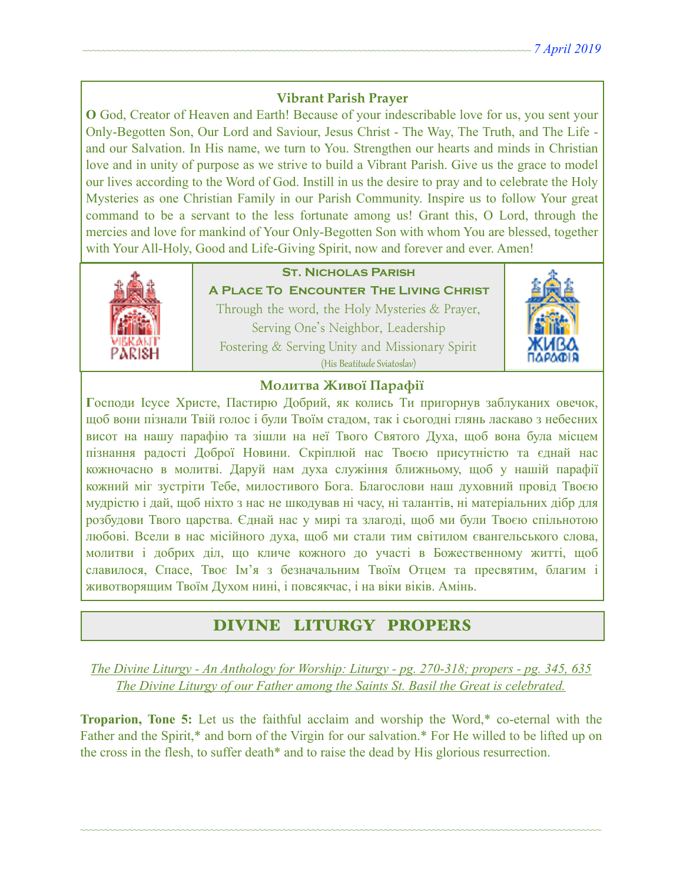## **Vibrant Parish Prayer**

**O** God, Creator of Heaven and Earth! Because of your indescribable love for us, you sent your Only-Begotten Son, Our Lord and Saviour, Jesus Christ - The Way, The Truth, and The Life and our Salvation. In His name, we turn to You. Strengthen our hearts and minds in Christian love and in unity of purpose as we strive to build a Vibrant Parish. Give us the grace to model our lives according to the Word of God. Instill in us the desire to pray and to celebrate the Holy Mysteries as one Christian Family in our Parish Community. Inspire us to follow Your great command to be a servant to the less fortunate among us! Grant this, O Lord, through the mercies and love for mankind of Your Only-Begotten Son with whom You are blessed, together with Your All-Holy, Good and Life-Giving Spirit, now and forever and ever. Amen!



# **St. Nicholas Parish**

**A Place To Encounter The Living Christ** Through the word, the Holy Mysteries & Prayer, Serving One's Neighbor, Leadership Fostering & Serving Unity and Missionary Spirit (His Beatitude Sviatoslav)



### **Молитва Живої Парафії**

**Г**осподи Ісусе Христе, Пастирю Добрий, як колись Ти пригорнув заблуканих овечок, щоб вони пізнали Твій голос і були Твоїм стадом, так і сьогодні глянь ласкаво з небесних висот на нашу парафію та зішли на неї Твого Святого Духа, щоб вона була місцем пізнання радості Доброї Новини. Скріплюй нас Твоєю присутністю та єднай нас кожночасно в молитві. Даруй нам духа служіння ближньому, щоб у нашій парафії кожний міг зустріти Тебе, милостивого Бога. Благослови наш духовний провід Твоєю мудрістю і дай, щоб ніхто з нас не шкодував ні часу, ні талантів, ні матеріальних дібр для розбудови Твого царства. Єднай нас у мирі та злагоді, щоб ми були Твоєю спільнотою любові. Всели в нас місійного духа, щоб ми стали тим світилом євангельського слова, молитви і добрих діл, що кличе кожного до участі в Божественному житті, щоб славилося, Спасе, Твоє Ім'я з безначальним Твоїм Отцем та пресвятим, благим і животворящим Твоїм Духом нині, і повсякчас, і на віки віків. Амінь.

# DIVINE LITURGY PROPERS

*The Divine Liturgy - An Anthology for Worship: Liturgy - pg. 270-318; propers - pg. 345, 635 The Divine Liturgy of our Father among the Saints St. Basil the Great is celebrated.* 

**Troparion, Tone 5:** Let us the faithful acclaim and worship the Word,\* co-eternal with the Father and the Spirit,\* and born of the Virgin for our salvation.\* For He willed to be lifted up on the cross in the flesh, to suffer death\* and to raise the dead by His glorious resurrection.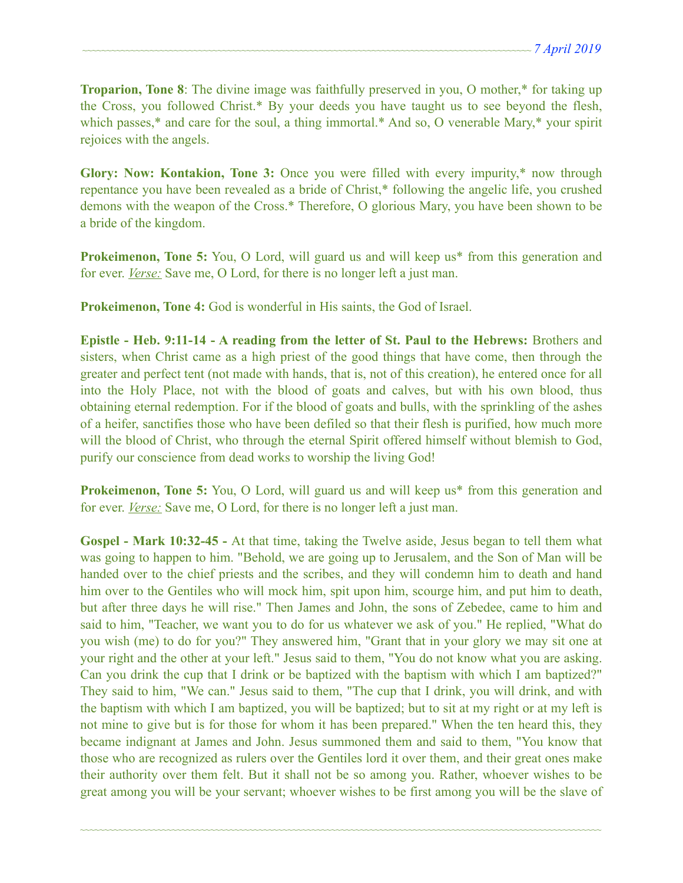**Troparion, Tone 8**: The divine image was faithfully preserved in you, O mother,\* for taking up the Cross, you followed Christ.\* By your deeds you have taught us to see beyond the flesh, which passes,<sup>\*</sup> and care for the soul, a thing immortal.<sup>\*</sup> And so, O venerable Mary,<sup>\*</sup> your spirit rejoices with the angels.

**Glory: Now: Kontakion, Tone 3:** Once you were filled with every impurity,\* now through repentance you have been revealed as a bride of Christ,\* following the angelic life, you crushed demons with the weapon of the Cross.\* Therefore, O glorious Mary, you have been shown to be a bride of the kingdom.

**Prokeimenon, Tone 5:** You, O Lord, will guard us and will keep us<sup>\*</sup> from this generation and for ever. *Verse:* Save me, O Lord, for there is no longer left a just man.

**Prokeimenon, Tone 4:** God is wonderful in His saints, the God of Israel.

**Epistle - Heb. 9:11-14 - A reading from the letter of St. Paul to the Hebrews:** Brothers and sisters, when Christ came as a high priest of the good things that have come, then through the greater and perfect tent (not made with hands, that is, not of this creation), he entered once for all into the Holy Place, not with the blood of goats and calves, but with his own blood, thus obtaining eternal redemption. For if the blood of goats and bulls, with the sprinkling of the ashes of a heifer, sanctifies those who have been defiled so that their flesh is purified, how much more will the blood of Christ, who through the eternal Spirit offered himself without blemish to God, purify our conscience from dead works to worship the living God!

**Prokeimenon, Tone 5:** You, O Lord, will guard us and will keep us<sup>\*</sup> from this generation and for ever. *Verse:* Save me, O Lord, for there is no longer left a just man.

**Gospel - Mark 10:32-45 -** At that time, taking the Twelve aside, Jesus began to tell them what was going to happen to him. "Behold, we are going up to Jerusalem, and the Son of Man will be handed over to the chief priests and the scribes, and they will condemn him to death and hand him over to the Gentiles who will mock him, spit upon him, scourge him, and put him to death, but after three days he will rise." Then James and John, the sons of Zebedee, came to him and said to him, "Teacher, we want you to do for us whatever we ask of you." He replied, "What do you wish (me) to do for you?" They answered him, "Grant that in your glory we may sit one at your right and the other at your left." Jesus said to them, "You do not know what you are asking. Can you drink the cup that I drink or be baptized with the baptism with which I am baptized?" They said to him, "We can." Jesus said to them, "The cup that I drink, you will drink, and with the baptism with which I am baptized, you will be baptized; but to sit at my right or at my left is not mine to give but is for those for whom it has been prepared." When the ten heard this, they became indignant at James and John. Jesus summoned them and said to them, "You know that those who are recognized as rulers over the Gentiles lord it over them, and their great ones make their authority over them felt. But it shall not be so among you. Rather, whoever wishes to be great among you will be your servant; whoever wishes to be first among you will be the slave of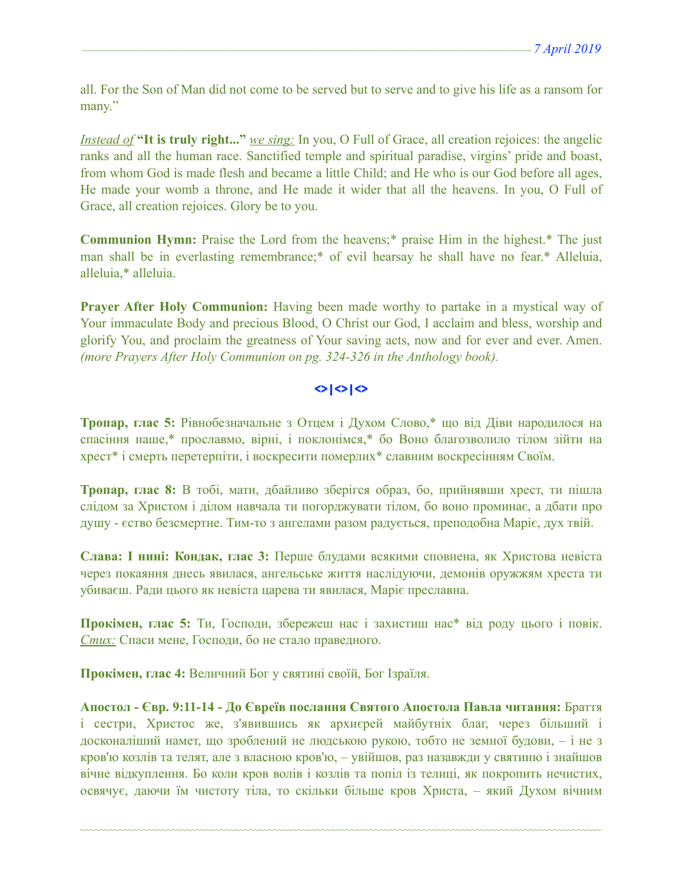all. For the Son of Man did not come to be served but to serve and to give his life as a ransom for many."

*Instead of* **"It is truly right..."** *we sing:* In you, O Full of Grace, all creation rejoices: the angelic ranks and all the human race. Sanctified temple and spiritual paradise, virgins' pride and boast, from whom God is made flesh and became a little Child; and He who is our God before all ages, He made your womb a throne, and He made it wider that all the heavens. In you, O Full of Grace, all creation rejoices. Glory be to you.

**Communion Hymn:** Praise the Lord from the heavens;\* praise Him in the highest.\* The just man shall be in everlasting remembrance;\* of evil hearsay he shall have no fear.\* Alleluia, alleluia,\* alleluia.

**Prayer After Holy Communion:** Having been made worthy to partake in a mystical way of Your immaculate Body and precious Blood, O Christ our God, I acclaim and bless, worship and glorify You, and proclaim the greatness of Your saving acts, now and for ever and ever. Amen. *(more Prayers After Holy Communion on pg. 324-326 in the Anthology book).* 

## **<>|<>|<>**

**Тропар, глас 5:** Рівнобезначальне з Отцем і Духом Слово,\* що від Діви народилося на спасіння наше,\* прославмо, вірні, і поклонімся,\* бо Воно благозволило тілом зійти на хрест\* і смерть перетерпіти, і воскресити померлих\* славним воскресінням Своїм.

**Тропар, глас 8:** В тобі, мати, дбайливо зберігся образ, бо, прийнявши хрест, ти пішла слідом за Христом і ділом навчала ти погорджувати тілом, бо воно проминає, а дбати про душу - єство безсмертне. Тим-то з ангелами разом радується, преподобна Маріє, дух твій.

**Слава: І нині: Кондак, глас 3:** Перше блудами всякими сповнена, як Христова невіста через покаяння днесь явилася, ангельське життя наслідуючи, демонів оружжям хреста ти убиваєш. Ради цього як невіста царева ти явилася, Маріє преславна.

**Прокімен, глас 5:** Ти, Господи, збережеш нас і захистиш нас\* від роду цього і повік. *Стих:* Спаси мене, Господи, бо не стало праведного.

**Прокімен, глас 4:** Величний Бог у святині своїй, Бог Ізраїля.

**Апостол - Євр. 9:11-14 - До Євреїв послання Святого Апостола Павла читання:** Браття і сестри, Христос же, з'явившись як архиєрей майбутніх благ, через більший і досконаліший намет, що зроблений не людською рукою, тобто не земної будови, – і не з кров'ю козлів та телят, але з власною кров'ю, – увійшов, раз назавжди у святиню і знайшов вічне відкуплення. Бо коли кров волів і козлів та попіл із телиці, як покропить нечистих, освячує, даючи їм чистоту тіла, то скільки більше кров Христа, – який Духом вічним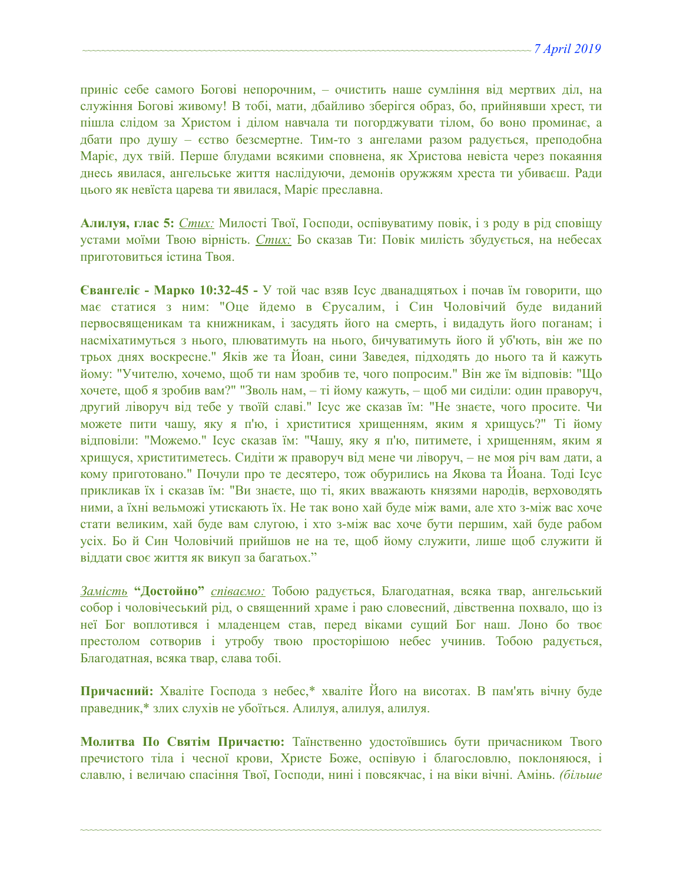приніс себе самого Богові непорочним, – очистить наше сумління від мертвих діл, на служіння Богові живому! В тобі, мати, дбайливо зберігся образ, бо, прийнявши хрест, ти пішла слідом за Христом і ділом навчала ти погорджувати тілом, бо воно проминає, а дбати про душу – єство безсмертне. Тим-то з ангелами разом радується, преподобна Маріє, дух твій. Перше блудами всякими сповнена, як Христова невіста через покаяння днесь явилася, ангельське життя наслідуючи, демонів оружжям хреста ти убиваєш. Ради цього як невїста царева ти явилася, Маріє преславна.

**Алилуя, глас 5:** *Стих:* Милості Твої, Господи, оспівуватиму повік, і з роду в рід сповіщу устами моїми Твою вірність. *Стих:* Бо сказав Ти: Повік милість збудується, на небесах приготовиться істина Твоя.

**Євангеліє - Марко 10:32-45 -** У той час взяв Ісус дванадцятьох і почав їм говорити, що має статися з ним: "Оце йдемо в Єрусалим, і Син Чоловічий буде виданий первосвященикам та книжникам, і засудять його на смерть, і видадуть його поганам; і насміхатимуться з нього, плюватимуть на нього, бичуватимуть його й уб'ють, він же по трьох днях воскресне." Яків же та Йоан, сини Заведея, підходять до нього та й кажуть йому: "Учителю, хочемо, щоб ти нам зробив те, чого попросим." Він же їм відповів: "Що хочете, щоб я зробив вам?" "Зволь нам, – ті йому кажуть, – щоб ми сиділи: один праворуч, другий ліворуч від тебе у твоїй славі." Ісус же сказав їм: "Не знаєте, чого просите. Чи можете пити чашу, яку я п'ю, і христитися хрищенням, яким я хрищусь?" Ті йому відповіли: "Можемо." Ісус сказав їм: "Чашу, яку я п'ю, питимете, і хрищенням, яким я хрищуся, христитиметесь. Сидіти ж праворуч від мене чи ліворуч, – не моя річ вам дати, а кому приготовано." Почули про те десятеро, тож обурились на Якова та Йоана. Тоді Ісус прикликав їх і сказав їм: "Ви знаєте, що ті, яких вважають князями народів, верховодять ними, а їхні вельможі утискають їх. Не так воно хай буде між вами, але хто з-між вас хоче стати великим, хай буде вам слугою, і хто з-між вас хоче бути першим, хай буде рабом усіх. Бо й Син Чоловічий прийшов не на те, щоб йому служити, лише щоб служити й віддати своє життя як викуп за багатьох."

*Замість* **"Достойно"** *співаємо:* Тобою радується, Благодатная, всяка твар, ангельський собор і чоловічеський рід, о священний храме і раю словесний, дівственна похвало, що із неї Бог воплотився і младенцем став, перед віками сущий Бог наш. Лоно бо твоє престолом сотворив і утробу твою просторішою небес учинив. Тобою радується, Благодатная, всяка твар, слава тобі.

**Причасний:** Хваліте Господа з небес,\* хваліте Його на висотах. В пам'ять вічну буде праведник,\* злих слухів не убоїться. Алилуя, алилуя, алилуя.

**Молитва По Святім Причастю:** Таїнственно удостоївшись бути причасником Твого пречистого тіла і чесної крови, Христе Боже, оспівую і благословлю, поклоняюся, і славлю, і величаю спасіння Твої, Господи, нині і повсякчас, і на віки вічні. Амінь. *(більше*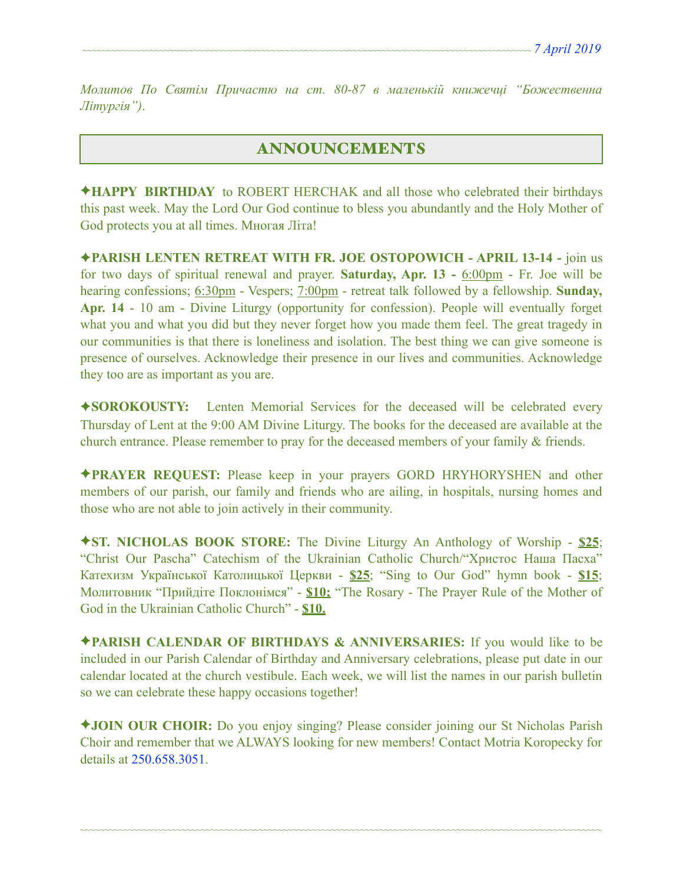*Молитов По Святім Причастю на ст. 80-87 в маленькій книжечці "Божественна Літургія")*.

# ANNOUNCEMENTS

✦**HAPPY BIRTHDAY** to ROBERT HERCHAK and all those who celebrated their birthdays this past week. May the Lord Our God continue to bless you abundantly and the Holy Mother of God protects you at all times. Многая Літа!

✦**PARISH LENTEN RETREAT WITH FR. JOE OSTOPOWICH - APRIL 13-14 -** join us for two days of spiritual renewal and prayer. **Saturday, Apr. 13 -** 6:00pm - Fr. Joe will be hearing confessions; 6:30pm - Vespers; 7:00pm - retreat talk followed by a fellowship. **Sunday, Apr. 14** - 10 am - Divine Liturgy (opportunity for confession). People will eventually forget what you and what you did but they never forget how you made them feel. The great tragedy in our communities is that there is loneliness and isolation. The best thing we can give someone is presence of ourselves. Acknowledge their presence in our lives and communities. Acknowledge they too are as important as you are.

✦**SOROKOUSTY:** Lenten Memorial Services for the deceased will be celebrated every Thursday of Lent at the 9:00 AM Divine Liturgy. The books for the deceased are available at the church entrance. Please remember to pray for the deceased members of your family & friends.

✦**PRAYER REQUEST:** Please keep in your prayers GORD HRYHORYSHEN and other members of our parish, our family and friends who are ailing, in hospitals, nursing homes and those who are not able to join actively in their community.

✦**ST. NICHOLAS BOOK STORE:** The Divine Liturgy An Anthology of Worship - **\$25**; "Christ Our Pascha" Catechism of the Ukrainian Catholic Church/"Христос Наша Пасха" Катехизм Української Католицької Церкви - **\$25**; "Sing to Our God" hymn book - **\$15**; Молитовник "Прийдіте Поклонімся" - **\$10;** "The Rosary - The Prayer Rule of the Mother of God in the Ukrainian Catholic Church" - **\$10.** 

✦**PARISH CALENDAR OF BIRTHDAYS & ANNIVERSARIES:** If you would like to be included in our Parish Calendar of Birthday and Anniversary celebrations, please put date in our calendar located at the church vestibule. Each week, we will list the names in our parish bulletin so we can celebrate these happy occasions together!

✦**JOIN OUR CHOIR:** Do you enjoy singing? Please consider joining our St Nicholas Parish Choir and remember that we ALWAYS looking for new members! Contact Motria Koropecky for details at 250.658.3051.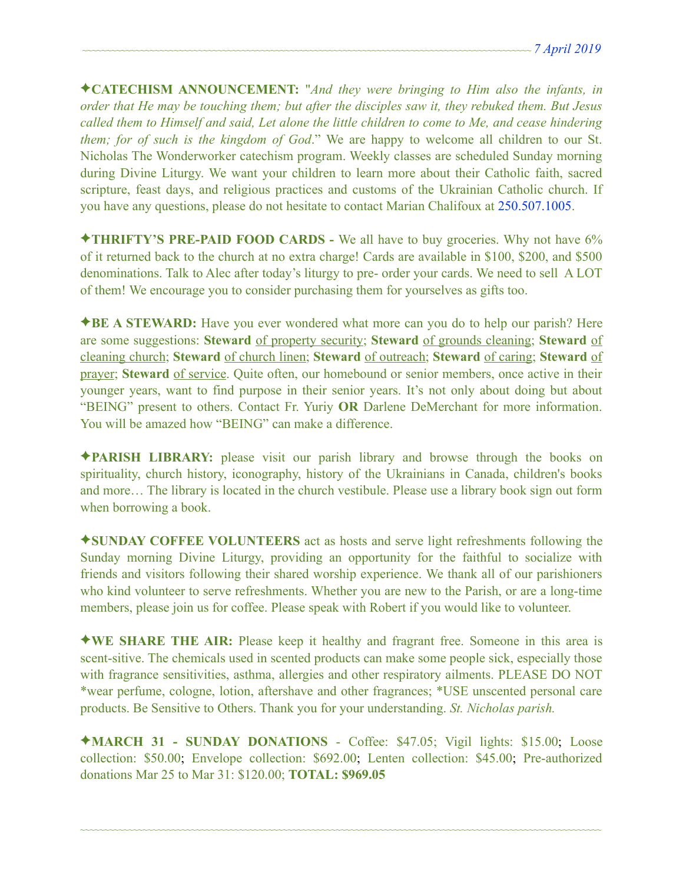✦**CATECHISM ANNOUNCEMENT:** "*And they were bringing to Him also the infants, in order that He may be touching them; but after the disciples saw it, they rebuked them. But Jesus called them to Himself and said, Let alone the little children to come to Me, and cease hindering them; for of such is the kingdom of God*." We are happy to welcome all children to our St. Nicholas The Wonderworker catechism program. Weekly classes are scheduled Sunday morning during Divine Liturgy. We want your children to learn more about their Catholic faith, sacred scripture, feast days, and religious practices and customs of the Ukrainian Catholic church. If you have any questions, please do not hesitate to contact Marian Chalifoux at 250.507.1005.

✦**THRIFTY'S PRE-PAID FOOD CARDS -** We all have to buy groceries. Why not have 6% of it returned back to the church at no extra charge! Cards are available in \$100, \$200, and \$500 denominations. Talk to Alec after today's liturgy to pre- order your cards. We need to sell A LOT of them! We encourage you to consider purchasing them for yourselves as gifts too.

✦**BE A STEWARD:** Have you ever wondered what more can you do to help our parish? Here are some suggestions: **Steward** of property security; **Steward** of grounds cleaning; **Steward** of cleaning church; **Steward** of church linen; **Steward** of outreach; **Steward** of caring; **Steward** of prayer; **Steward** of service. Quite often, our homebound or senior members, once active in their younger years, want to find purpose in their senior years. It's not only about doing but about "BEING" present to others. Contact Fr. Yuriy **OR** Darlene DeMerchant for more information. You will be amazed how "BEING" can make a difference.

✦**PARISH LIBRARY:** please visit our parish library and browse through the books on spirituality, church history, iconography, history of the Ukrainians in Canada, children's books and more… The library is located in the church vestibule. Please use a library book sign out form when borrowing a book.

✦**SUNDAY COFFEE VOLUNTEERS** act as hosts and serve light refreshments following the Sunday morning Divine Liturgy, providing an opportunity for the faithful to socialize with friends and visitors following their shared worship experience. We thank all of our parishioners who kind volunteer to serve refreshments. Whether you are new to the Parish, or are a long-time members, please join us for coffee. Please speak with Robert if you would like to volunteer.

✦**WE SHARE THE AIR:** Please keep it healthy and fragrant free. Someone in this area is scent-sitive. The chemicals used in scented products can make some people sick, especially those with fragrance sensitivities, asthma, allergies and other respiratory ailments. PLEASE DO NOT \*wear perfume, cologne, lotion, aftershave and other fragrances; \*USE unscented personal care products. Be Sensitive to Others. Thank you for your understanding. *St. Nicholas parish.* 

✦**MARCH 31 - SUNDAY DONATIONS** - Coffee: \$47.05; Vigil lights: \$15.00; Loose collection: \$50.00; Envelope collection: \$692.00; Lenten collection: \$45.00; Pre-authorized donations Mar 25 to Mar 31: \$120.00; **TOTAL: \$969.05**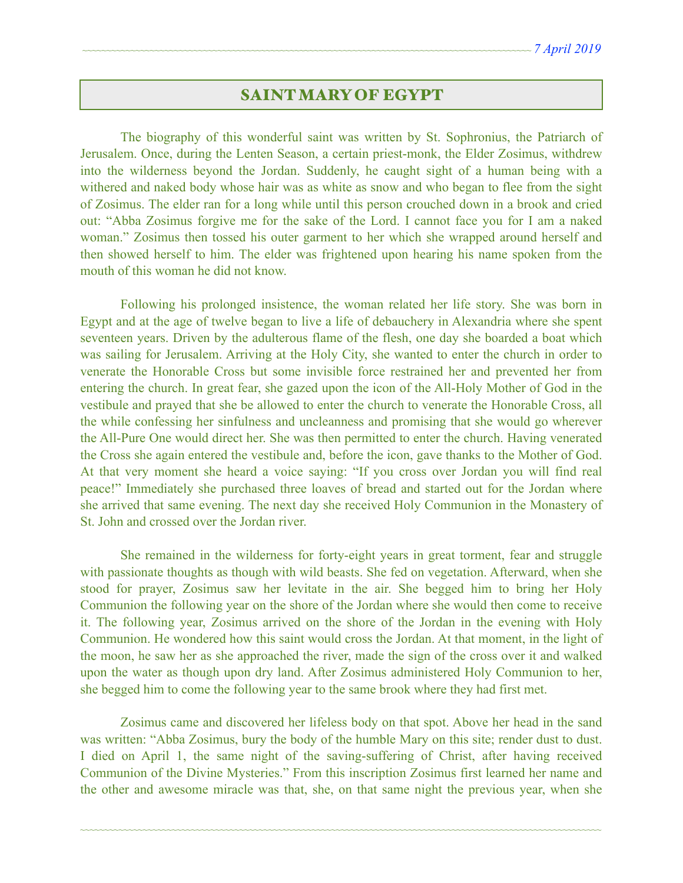## SAINT MARY OF EGYPT

 The biography of this wonderful saint was written by St. Sophronius, the Patriarch of Jerusalem. Once, during the Lenten Season, a certain priest-monk, the Elder Zosimus, withdrew into the wilderness beyond the Jordan. Suddenly, he caught sight of a human being with a withered and naked body whose hair was as white as snow and who began to flee from the sight of Zosimus. The elder ran for a long while until this person crouched down in a brook and cried out: "Abba Zosimus forgive me for the sake of the Lord. I cannot face you for I am a naked woman." Zosimus then tossed his outer garment to her which she wrapped around herself and then showed herself to him. The elder was frightened upon hearing his name spoken from the mouth of this woman he did not know.

 Following his prolonged insistence, the woman related her life story. She was born in Egypt and at the age of twelve began to live a life of debauchery in Alexandria where she spent seventeen years. Driven by the adulterous flame of the flesh, one day she boarded a boat which was sailing for Jerusalem. Arriving at the Holy City, she wanted to enter the church in order to venerate the Honorable Cross but some invisible force restrained her and prevented her from entering the church. In great fear, she gazed upon the icon of the All-Holy Mother of God in the vestibule and prayed that she be allowed to enter the church to venerate the Honorable Cross, all the while confessing her sinfulness and uncleanness and promising that she would go wherever the All-Pure One would direct her. She was then permitted to enter the church. Having venerated the Cross she again entered the vestibule and, before the icon, gave thanks to the Mother of God. At that very moment she heard a voice saying: "If you cross over Jordan you will find real peace!" Immediately she purchased three loaves of bread and started out for the Jordan where she arrived that same evening. The next day she received Holy Communion in the Monastery of St. John and crossed over the Jordan river.

 She remained in the wilderness for forty-eight years in great torment, fear and struggle with passionate thoughts as though with wild beasts. She fed on vegetation. Afterward, when she stood for prayer, Zosimus saw her levitate in the air. She begged him to bring her Holy Communion the following year on the shore of the Jordan where she would then come to receive it. The following year, Zosimus arrived on the shore of the Jordan in the evening with Holy Communion. He wondered how this saint would cross the Jordan. At that moment, in the light of the moon, he saw her as she approached the river, made the sign of the cross over it and walked upon the water as though upon dry land. After Zosimus administered Holy Communion to her, she begged him to come the following year to the same brook where they had first met.

 Zosimus came and discovered her lifeless body on that spot. Above her head in the sand was written: "Abba Zosimus, bury the body of the humble Mary on this site; render dust to dust. I died on April 1, the same night of the saving-suffering of Christ, after having received Communion of the Divine Mysteries." From this inscription Zosimus first learned her name and the other and awesome miracle was that, she, on that same night the previous year, when she